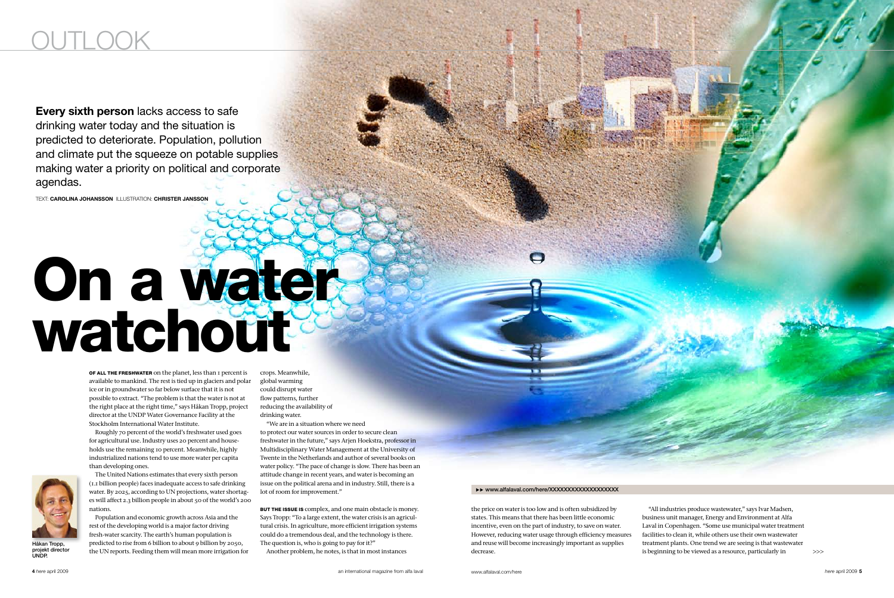# On a water watchout

>>>

Every sixth person lacks access to safe drinking water today and the situation is predicted to deteriorate. Population, pollution and climate put the squeeze on potable supplies making water a priority on political and corporate agendas.

Text: Carolina Johansson illustration: Christer Jansson

OF ALL THE FRESHWATER on the planet, less than I percent is available to mankind. The rest is tied up in glaciers and polar ice or in groundwater so far below surface that it is not possible to extract. "The problem is that the water is not at the right place at the right time," says Håkan Tropp, project director at the UNDP Water Governance Facility at the Stockholm International Water Institute.

Roughly 70 percent of the world's freshwater used goes for agricultural use. Industry uses 20 percent and households use the remaining 10 percent. Meanwhile, highly industrialized nations tend to use more water per capita than developing ones.



The United Nations estimates that every sixth person (1.1 billion people) faces inadequate access to safe drinking water. By 2025, according to UN projections, water shortages will affect 2.3 billion people in about 50 of the world's 200 nations.

BUT THE ISSUE IS complex, and one main obstacle is money. Says Tropp: "To a large extent, the water crisis is an agricultural crisis. In agriculture, more efficient irrigation systems could do a tremendous deal, and the technology is there. The question is, who is going to pay for it?"

Population and economic growth across Asia and the rest of the developing world is a major factor driving fresh-water scarcity. The earth's human population is predicted to rise from 6 billion to about 9 billion by 2050, the UN reports. Feeding them will mean more irrigation for crops. Meanwhile, global warming could disrupt water flow patterns, further reducing the availability of drinking water.

"We are in a situation where we need

to protect our water sources in order to secure clean freshwater in the future," says Arjen Hoekstra, professor in Multidisciplinary Water Management at the University of Twente in the Netherlands and author of several books on water policy. "The pace of change is slow. There has been an attitude change in recent years, and water is becoming an issue on the political arena and in industry. Still, there is a lot of room for improvement."

Another problem, he notes, is that in most instances

#### ▶▶ www.alfalaval.com/here/XXXXXXXXXXXXXXXXXXXX

the price on water is too low and is often subsidized by states. This means that there has been little economic incentive, even on the part of industry, to save on water. However, reducing water usage through efficiency measures and reuse will become increasingly important as supplies decrease.

"All industries produce wastewater," says Ivar Madsen, business unit manager, Energy and Environment at Alfa Laval in Copenhagen. "Some use municipal water treatment facilities to clean it, while others use their own wastewater treatment plants. One trend we are seeing is that wastewater is beginning to be viewed as a resource, particularly in

Håkan Tropp, projekt director UNDP.



# OUTLOOK